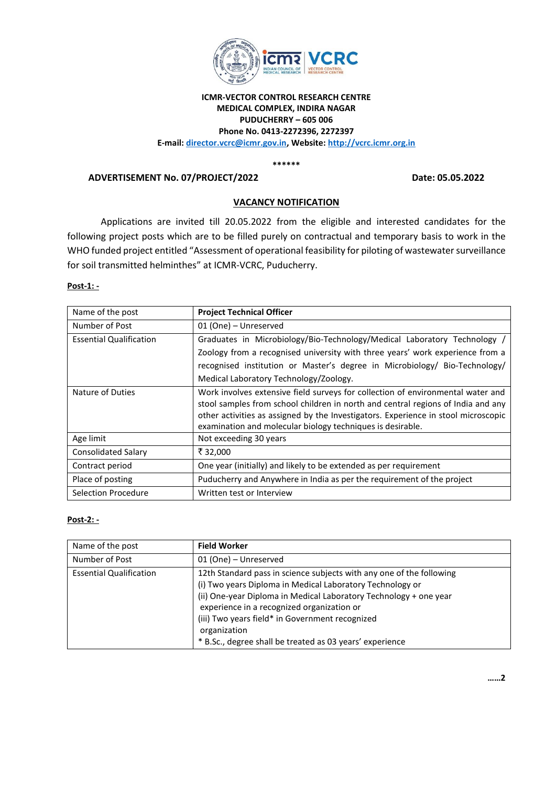

## **ICMR-VECTOR CONTROL RESEARCH CENTRE MEDICAL COMPLEX, INDIRA NAGAR PUDUCHERRY – 605 006 Phone No. 0413-2272396, 2272397 E-mail: director.vcrc@icmr.gov.in, Website: [http://vcrc.icmr.org.in](http://vcrc.icmr.org.in/)**

**\*\*\*\*\*\***

**ADVERTISEMENT No. 07/PROJECT/2022 Date: 05.05.2022**

# **VACANCY NOTIFICATION**

Applications are invited till 20.05.2022 from the eligible and interested candidates for the following project posts which are to be filled purely on contractual and temporary basis to work in the WHO funded project entitled "Assessment of operational feasibility for piloting of wastewater surveillance for soil transmitted helminthes" at ICMR-VCRC, Puducherry.

### **Post-1: -**

| Name of the post               | <b>Project Technical Officer</b>                                                   |
|--------------------------------|------------------------------------------------------------------------------------|
| Number of Post                 | 01 (One) - Unreserved                                                              |
| <b>Essential Qualification</b> | Graduates in Microbiology/Bio-Technology/Medical Laboratory Technology /           |
|                                | Zoology from a recognised university with three years' work experience from a      |
|                                | recognised institution or Master's degree in Microbiology/ Bio-Technology/         |
|                                | Medical Laboratory Technology/Zoology.                                             |
| Nature of Duties               | Work involves extensive field surveys for collection of environmental water and    |
|                                | stool samples from school children in north and central regions of India and any   |
|                                | other activities as assigned by the Investigators. Experience in stool microscopic |
|                                | examination and molecular biology techniques is desirable.                         |
| Age limit                      | Not exceeding 30 years                                                             |
| <b>Consolidated Salary</b>     | ₹32,000                                                                            |
| Contract period                | One year (initially) and likely to be extended as per requirement                  |
| Place of posting               | Puducherry and Anywhere in India as per the requirement of the project             |
| Selection Procedure            | Written test or Interview                                                          |

#### **Post-2: -**

| Name of the post               | <b>Field Worker</b>                                                                                                                                                                                                                                                                                                                                                                 |
|--------------------------------|-------------------------------------------------------------------------------------------------------------------------------------------------------------------------------------------------------------------------------------------------------------------------------------------------------------------------------------------------------------------------------------|
| Number of Post                 | 01 (One) - Unreserved                                                                                                                                                                                                                                                                                                                                                               |
| <b>Essential Qualification</b> | 12th Standard pass in science subjects with any one of the following<br>(i) Two years Diploma in Medical Laboratory Technology or<br>(ii) One-year Diploma in Medical Laboratory Technology + one year<br>experience in a recognized organization or<br>(iii) Two years field* in Government recognized<br>organization<br>* B.Sc., degree shall be treated as 03 years' experience |

**……2**